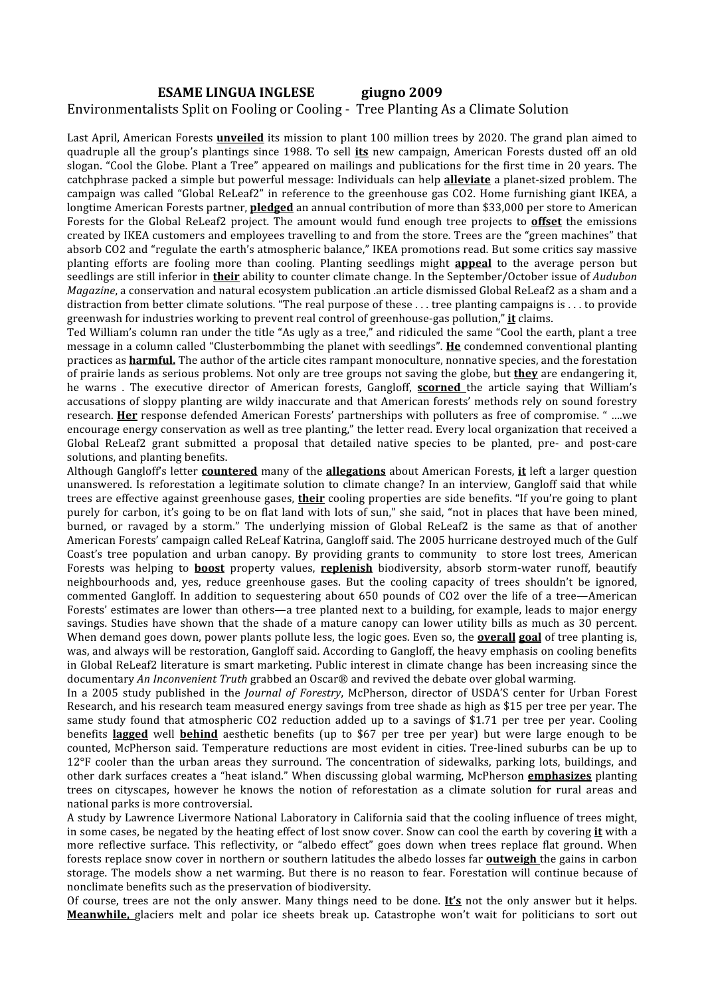### **ESAME LINGUA INGLESE giugno 2009** Environmentalists Split on Fooling or Cooling ‐ Tree Planting As a Climate Solution

Last April, American Forests **unveiled** its mission to plant 100 million trees by 2020. The grand plan aimed to quadruple all the group's plantings since 1988. To sell **its** new campaign, American Forests dusted off an old slogan. "Cool the Globe. Plant a Tree" appeared on mailings and publications for the first time in 20 years. The catchphrase packed a simple but powerful message: Individuals can help **alleviate** a planet‐sized problem. The campaign was called "Global ReLeaf2" in reference to the greenhouse gas CO2. Home furnishing giant IKEA, a longtime American Forests partner, **pledged** an annual contribution of more than \$33,000 per store to American Forests for the Global ReLeaf2 project. The amount would fund enough tree projects to **offset** the emissions created by IKEA customers and employees travelling to and from the store. Trees are the "green machines" that absorb CO2 and "regulate the earth's atmospheric balance," IKEA promotions read. But some critics say massive planting efforts are fooling more than cooling. Planting seedlings might **appeal** to the average person but seedlings are still inferior in **their** ability to counter climate change. In the September/October issue of *Audubon Magazine*, a conservation and natural ecosystem publication *.*an article dismissed Global ReLeaf2 as a sham and a distraction from better climate solutions. "The real purpose of these . . . tree planting campaigns is . . . to provide greenwash for industries working to prevent real control of greenhouse‐gas pollution," **it** claims.

Ted William's column ran under the title "As ugly as a tree," and ridiculed the same "Cool the earth, plant a tree message in a column called "Clusterbommbing the planet with seedlings". **He** condemned conventional planting practices as **harmful.** The author of the article cites rampant monoculture, nonnative species, and the forestation of prairie lands as serious problems. Not only are tree groups not saving the globe, but **they** are endangering it, he warns . The executive director of American forests, Gangloff, **scorned**  the article saying that William's accusations of sloppy planting are wildy inaccurate and that American forests' methods rely on sound forestry research. **Her** response defended American Forests' partnerships with polluters as free of compromise. " ….we encourage energy conservation as well as tree planting," the letter read. Every local organization that received a Global ReLeaf2 grant submitted a proposal that detailed native species to be planted, pre- and post-care solutions, and planting benefits.

Although Gangloff's letter **countered** many of the **allegations** about American Forests, **it** left a larger question unanswered. Is reforestation a legitimate solution to climate change? In an interview, Gangloff said that while trees are effective against greenhouse gases, **their** cooling properties are side benefits. "If you're going to plant purely for carbon, it's going to be on flat land with lots of sun," she said, "not in places that have been mined, burned, or ravaged by a storm." The underlying mission of Global ReLeaf2 is the same as that of another American Forests' campaign called ReLeaf Katrina, Gangloff said. The 2005 hurricane destroyed much of the Gulf Coast's tree population and urban canopy. By providing grants to community to store lost trees, American Forests was helping to **boost** property values, **replenish** biodiversity, absorb storm‐water runoff, beautify neighbourhoods and, yes, reduce greenhouse gases. But the cooling capacity of trees shouldn't be ignored, commented Gangloff. In addition to sequestering about 650 pounds of CO2 over the life of a tree—American Forests' estimates are lower than others—a tree planted next to a building, for example, leads to major energy savings. Studies have shown that the shade of a mature canopy can lower utility bills as much as 30 percent. When demand goes down, power plants pollute less, the logic goes. Even so, the **overall goal** of tree planting is, was, and always will be restoration, Gangloff said. According to Gangloff, the heavy emphasis on cooling benefits in Global ReLeaf2 literature is smart marketing. Public interest in climate change has been increasing since the documentary *An Inconvenient Truth* grabbed an Oscar® and revived the debate over global warming.

In a 2005 study published in the *Journal of Forestry*, McPherson, director of USDA'S center for Urban Forest Research, and his research team measured energy savings from tree shade as high as \$15 per tree per year. The same study found that atmospheric CO2 reduction added up to a savings of \$1.71 per tree per vear. Cooling benefits **lagged** well **behind** aesthetic benefits (up to \$67 per tree per year) but were large enough to be counted, McPherson said. Temperature reductions are most evident in cities. Tree‐lined suburbs can be up to 12°F cooler than the urban areas they surround. The concentration of sidewalks, parking lots, buildings, and other dark surfaces creates a "heat island." When discussing global warming, McPherson **emphasizes** planting trees on cityscapes, however he knows the notion of reforestation as a climate solution for rural areas and national parks is more controversial.

A study by Lawrence Livermore National Laboratory in California said that the cooling influence of trees might, in some cases, be negated by the heating effect of lost snow cover. Snow can cool the earth by covering **it** with a more reflective surface. This reflectivity, or "albedo effect" goes down when trees replace flat ground. When forests replace snow cover in northern or southern latitudes the albedo losses far **outweigh** the gains in carbon storage. The models show a net warming. But there is no reason to fear. Forestation will continue because of nonclimate benefits such as the preservation of biodiversity.

Of course, trees are not the only answer. Many things need to be done. **It's** not the only answer but it helps. **Meanwhile,** glaciers melt and polar ice sheets break up. Catastrophe won't wait for politicians to sort out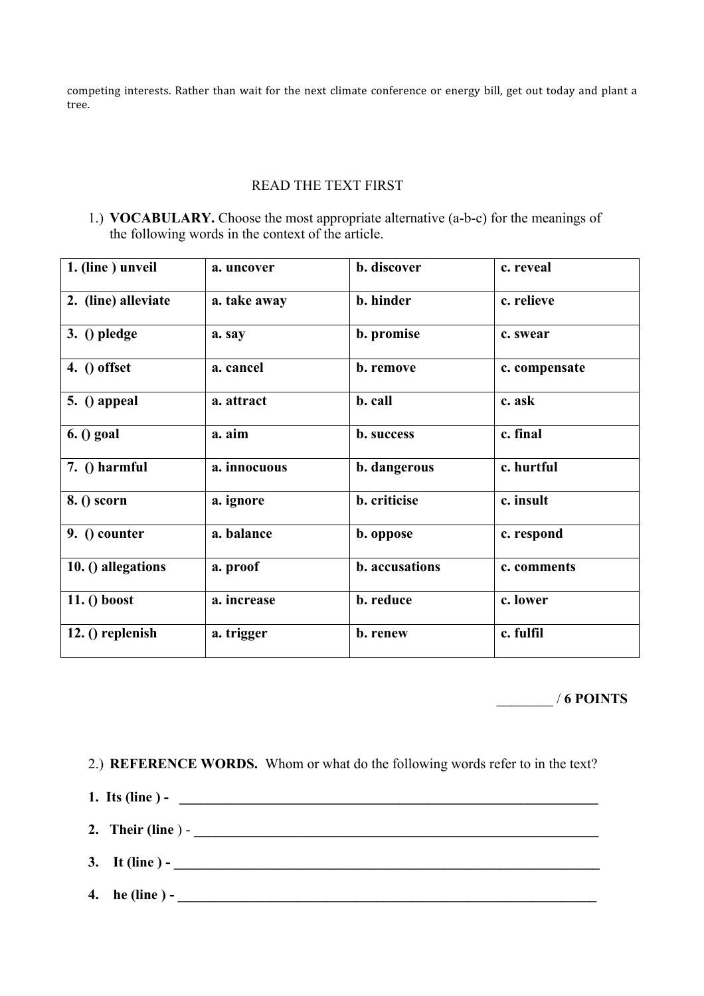competing interests. Rather than wait for the next climate conference or energy bill, get out today and plant a tree.

### READ THE TEXT FIRST

1.) **VOCABULARY.** Choose the most appropriate alternative (a-b-c) for the meanings of the following words in the context of the article.

| 1. (line) unveil    | a. uncover   | b. discover    | c. reveal     |
|---------------------|--------------|----------------|---------------|
| 2. (line) alleviate | a. take away | b. hinder      | c. relieve    |
| $3.$ () pledge      | a. say       | b. promise     | c. swear      |
| 4. $()$ offset      | a. cancel    | b. remove      | c. compensate |
| $5.$ () appeal      | a. attract   | b. call        | c. ask        |
| $6.$ () goal        | a. aim       | b. success     | c. final      |
| 7. () harmful       | a. innocuous | b. dangerous   | c. hurtful    |
| 8. () scorn         | a. ignore    | b. criticise   | c. insult     |
| 9. () counter       | a. balance   | b. oppose      | c. respond    |
| 10. () allegations  | a. proof     | b. accusations | c. comments   |
| $11.()$ boost       | a. increase  | b. reduce      | c. lower      |
| 12. () replenish    | a. trigger   | b. renew       | c. fulfil     |

\_\_\_\_\_\_\_\_ / **6 POINTS**

2.) **REFERENCE WORDS.** Whom or what do the following words refer to in the text?

- **1.** Its (line ) -
- **2. Their (line** ) **\_\_\_\_\_\_\_\_\_\_\_\_\_\_\_\_\_\_\_\_\_\_\_\_\_\_\_\_\_\_\_\_\_\_\_\_\_\_\_\_\_\_\_\_\_\_\_\_\_\_\_\_\_\_\_\_\_**
- **3. It (line ) \_\_\_\_\_\_\_\_\_\_\_\_\_\_\_\_\_\_\_\_\_\_\_\_\_\_\_\_\_\_\_\_\_\_\_\_\_\_\_\_\_\_\_\_\_\_\_\_\_\_\_\_\_\_\_\_\_\_\_\_**
- **4. he (line ) \_\_\_\_\_\_\_\_\_\_\_\_\_\_\_\_\_\_\_\_\_\_\_\_\_\_\_\_\_\_\_\_\_\_\_\_\_\_\_\_\_\_\_\_\_\_\_\_\_\_\_\_\_\_\_\_\_\_\_**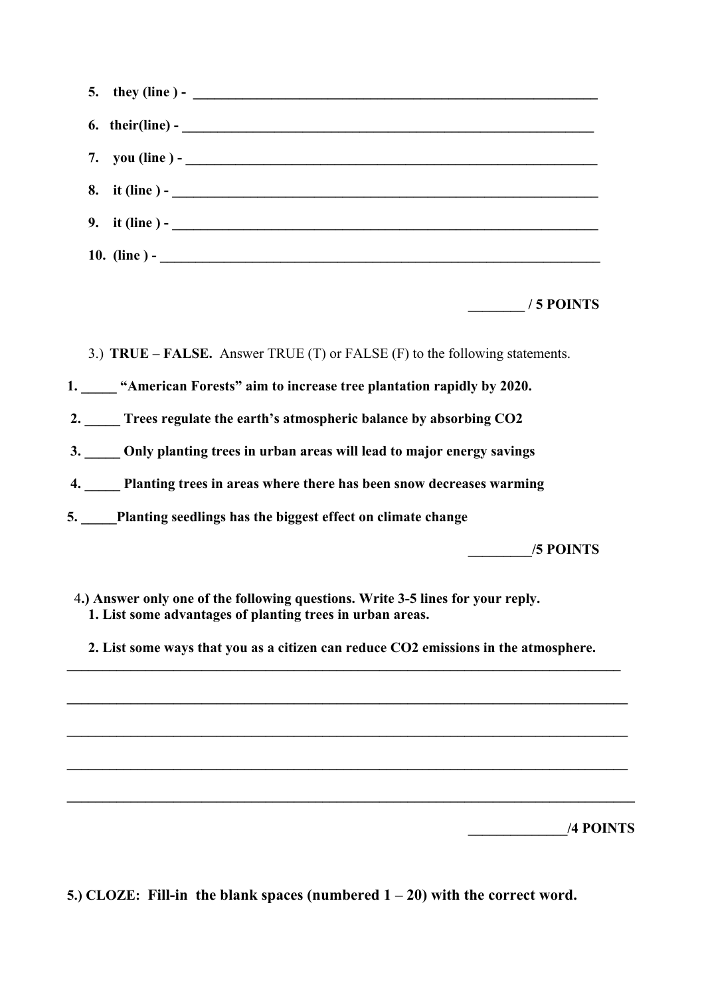| 5. | they (line ) - $\qquad \qquad$                                              |
|----|-----------------------------------------------------------------------------|
| 6. |                                                                             |
| 7. |                                                                             |
| 8. | it (line) $-$                                                               |
| 9. | it (line ) - $\qquad \qquad$                                                |
|    |                                                                             |
|    | / 5 POINTS                                                                  |
|    | 3.) TRUE – FALSE. Answer TRUE (T) or FALSE (F) to the following statements. |
|    | 1. "American Forests" aim to increase tree plantation rapidly by 2020.      |
|    | 2. Trees regulate the earth's atmospheric balance by absorbing CO2          |
|    | 3. Only planting trees in urban areas will lead to major energy savings     |
|    | 4. Planting trees in areas where there has been snow decreases warming      |
|    | 5. Planting seedlings has the biggest effect on climate change              |
|    | /5 POINTS                                                                   |
|    |                                                                             |

- 4**.) Answer only one of the following questions. Write 3-5 lines for your reply. 1. List some advantages of planting trees in urban areas.**
- **2. List some ways that you as a citizen can reduce CO2 emissions in the atmosphere.**   $\mathcal{L}_\mathcal{L} = \{ \mathcal{L}_\mathcal{L} = \{ \mathcal{L}_\mathcal{L} = \{ \mathcal{L}_\mathcal{L} = \{ \mathcal{L}_\mathcal{L} = \{ \mathcal{L}_\mathcal{L} = \{ \mathcal{L}_\mathcal{L} = \{ \mathcal{L}_\mathcal{L} = \{ \mathcal{L}_\mathcal{L} = \{ \mathcal{L}_\mathcal{L} = \{ \mathcal{L}_\mathcal{L} = \{ \mathcal{L}_\mathcal{L} = \{ \mathcal{L}_\mathcal{L} = \{ \mathcal{L}_\mathcal{L} = \{ \mathcal{L}_\mathcal{$

**\_\_\_\_\_\_\_\_\_\_\_\_\_\_\_\_\_\_\_\_\_\_\_\_\_\_\_\_\_\_\_\_\_\_\_\_\_\_\_\_\_\_\_\_\_\_\_\_\_\_\_\_\_\_\_\_\_\_\_\_\_\_\_\_\_\_\_\_\_\_\_\_\_\_\_\_\_\_\_**

 $\mathcal{L} = \{ \mathcal{L} \mathcal{L} \mathcal{L} \mathcal{L} \mathcal{L} \mathcal{L} \mathcal{L} \mathcal{L} \mathcal{L} \mathcal{L} \mathcal{L} \mathcal{L} \mathcal{L} \mathcal{L} \mathcal{L} \mathcal{L} \mathcal{L} \mathcal{L} \mathcal{L} \mathcal{L} \mathcal{L} \mathcal{L} \mathcal{L} \mathcal{L} \mathcal{L} \mathcal{L} \mathcal{L} \mathcal{L} \mathcal{L} \mathcal{L} \mathcal{L} \mathcal{L} \mathcal{L} \mathcal{L} \mathcal{L} \$ 

**\_\_\_\_\_\_\_\_\_\_\_\_\_\_\_\_\_\_\_\_\_\_\_\_\_\_\_\_\_\_\_\_\_\_\_\_\_\_\_\_\_\_\_\_\_\_\_\_\_\_\_\_\_\_\_\_\_\_\_\_\_\_\_\_\_\_\_\_\_\_\_\_\_\_\_\_\_\_\_** 

**\_\_\_\_\_\_\_\_\_\_\_\_\_\_\_\_\_\_\_\_\_\_\_\_\_\_\_\_\_\_\_\_\_\_\_\_\_\_\_\_\_\_\_\_\_\_\_\_\_\_\_\_\_\_\_\_\_\_\_\_\_\_\_\_\_\_\_\_\_\_\_\_\_\_\_\_\_\_\_\_** 

 **\_\_\_\_\_\_\_\_\_\_\_\_\_\_/4 POINTS**

**5.) CLOZE: Fill-in the blank spaces (numbered 1 – 20) with the correct word.**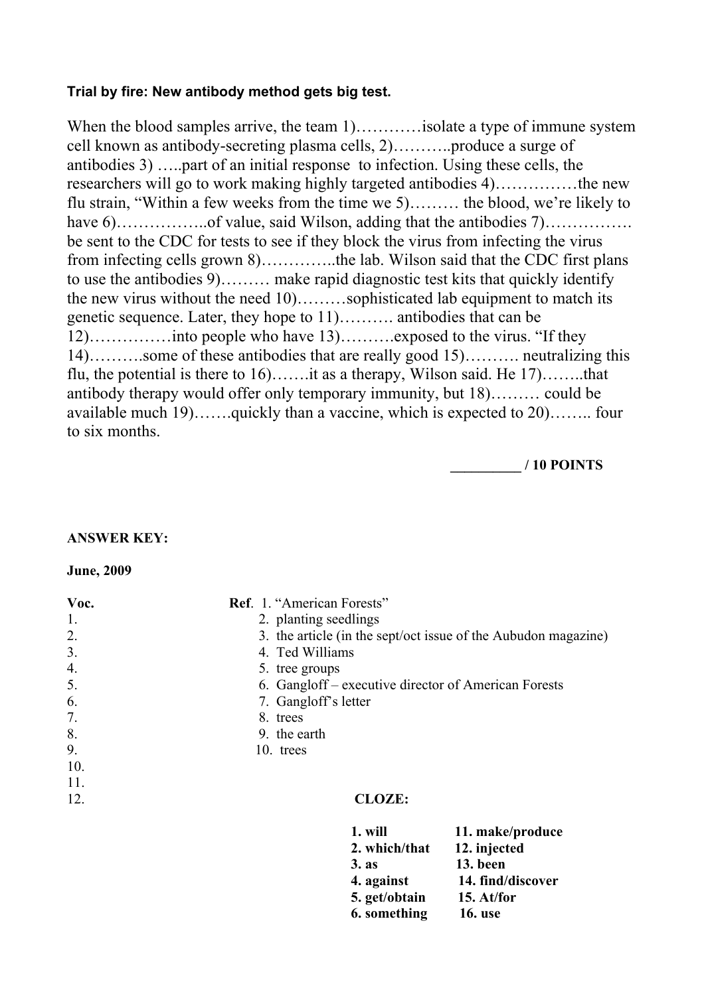# **Trial by fire: New antibody method gets big test.**

When the blood samples arrive, the team 1)…………isolate a type of immune system cell known as antibody-secreting plasma cells, 2)………..produce a surge of antibodies 3) …..part of an initial response to infection. Using these cells, the researchers will go to work making highly targeted antibodies 4)……………the new flu strain, "Within a few weeks from the time we 5)……… the blood, we're likely to have 6)……………..of value, said Wilson, adding that the antibodies 7)……………. be sent to the CDC for tests to see if they block the virus from infecting the virus from infecting cells grown 8)…………..the lab. Wilson said that the CDC first plans to use the antibodies 9)……… make rapid diagnostic test kits that quickly identify the new virus without the need 10)………sophisticated lab equipment to match its genetic sequence. Later, they hope to 11)………. antibodies that can be 12)……………into people who have 13)……….exposed to the virus. "If they 14)……….some of these antibodies that are really good 15)………. neutralizing this flu, the potential is there to  $16$ ........the as a therapy, Wilson said. He  $17$ .........that antibody therapy would offer only temporary immunity, but 18)……… could be available much 19)…….quickly than a vaccine, which is expected to 20)…….. four to six months.

**\_\_\_\_\_\_\_\_\_\_ / 10 POINTS**

## **ANSWER KEY:**

### **June, 2009**

| Voc. | Ref. 1. "American Forests"                                     |
|------|----------------------------------------------------------------|
| -1.  | 2. planting seedlings                                          |
| 2.   | 3. the article (in the sept/oct issue of the Aubudon magazine) |
| 3.   | 4. Ted Williams                                                |
| 4.   | 5. tree groups                                                 |
| 5.   | 6. Gangloff – executive director of American Forests           |
| 6.   | 7. Gangloff's letter                                           |
| 7.   | 8. trees                                                       |
| 8.   | 9. the earth                                                   |
| 9.   | 10. trees                                                      |
| 10.  |                                                                |
| 11.  |                                                                |
| 12.  | <b>CLOZE:</b>                                                  |
|      |                                                                |

| 1. will          | 11. make/produce  |
|------------------|-------------------|
| 2. which/that    | 12. injected      |
| 3.8 <sub>s</sub> | 13. been          |
| 4. against       | 14. find/discover |
| 5. get/obtain    | 15. $At/for$      |
| 6. something     | <b>16.</b> use    |